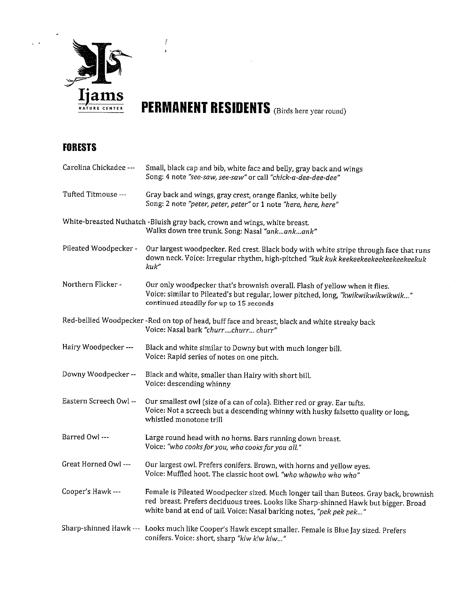

 $\hat{f}$ 

PERMANENT RESIDENTS (Birds here year round)

#### FORESTS

 $\frac{1}{2} \sum_{i=1}^{n} \frac{1}{2} \sum_{j=1}^{n} \frac{1}{2} \sum_{j=1}^{n} \frac{1}{2} \sum_{j=1}^{n} \frac{1}{2} \sum_{j=1}^{n} \frac{1}{2} \sum_{j=1}^{n} \frac{1}{2} \sum_{j=1}^{n} \frac{1}{2} \sum_{j=1}^{n} \frac{1}{2} \sum_{j=1}^{n} \frac{1}{2} \sum_{j=1}^{n} \frac{1}{2} \sum_{j=1}^{n} \frac{1}{2} \sum_{j=1}^{n} \frac{1}{2} \sum_{j=1}^{n$ 

| Carolina Chickadee --- | Small, black cap and bib, white face and belly, gray back and wings<br>Song: 4 note "see-saw, see-saw" or call "chick-a-dee-dee-dee"                                                                                                                   |
|------------------------|--------------------------------------------------------------------------------------------------------------------------------------------------------------------------------------------------------------------------------------------------------|
| Tufted Titmouse ---    | Gray back and wings, gray crest, orange flanks, white belly<br>Song: 2 note "peter, peter, peter" or 1 note "here, here, here"                                                                                                                         |
|                        | White-breasted Nuthatch -Bluish gray back, crown and wings, white breast.<br>Walks down tree trunk. Song: Nasal "ankankank"                                                                                                                            |
| Pileated Woodpecker -  | Our largest woodpecker. Red crest. Black body with white stripe through face that runs<br>down neck. Voice: Irregular rhythm, high-pitched "kuk kuk keekeekeekeekeekeekeekuk<br>kuk"                                                                   |
| Northern Flicker -     | Our only woodpecker that's brownish overall. Flash of yellow when it flies.<br>Voice: similar to Pileated's but regular, lower pitched, long, "kwikwikwikwikwik"<br>continued steadily for up to 15 seconds                                            |
|                        | Red-bellied Woodpecker -Red on top of head, buff face and breast, black and white streaky back<br>Voice: Nasal bark "churrchurr churr"                                                                                                                 |
| Hairy Woodpecker ---   | Black and white similar to Downy but with much longer bill.<br>Voice: Rapid series of notes on one pitch.                                                                                                                                              |
| Downy Woodpecker --    | Black and white, smaller than Hairy with short bill.<br>Voice: descending whinny                                                                                                                                                                       |
| Eastern Screech Owl -- | Our smallest owl (size of a can of cola). Either red or gray. Ear tufts.<br>Voice: Not a screech but a descending whinny with husky falsetto quality or long,<br>whistled monotone trill                                                               |
| Barred Owl ---         | Large round head with no horns. Bars running down breast.<br>Voice: "who cooks for you, who cooks for you all."                                                                                                                                        |
| Great Horned Owl ---   | Our largest owl. Prefers conifers. Brown, with horns and yellow eyes.<br>Voice: Muffled hoot. The classic hoot owl. "who whowho who who"                                                                                                               |
| Cooper's Hawk ---      | Female is Pileated Woodpecker sized. Much longer tail than Buteos. Gray back, brownish<br>red breast. Prefers deciduous trees. Looks like Sharp-shinned Hawk but bigger. Broad<br>white band at end of tail. Voice: Nasal barking notes, "pek pek pek" |
|                        | Sharp-shinned Hawk --- Looks much like Cooper's Hawk except smaller. Female is Blue Jay sized. Prefers<br>conifers. Voice: short, sharp "kiw kiw kiw"                                                                                                  |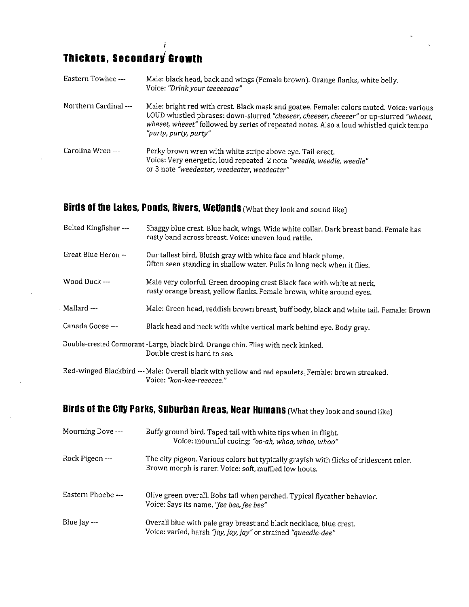#### Thickets, Secondary Growth

 $\hat{\mathbf{r}}$ 

 $\bar{z}$ 

 $\vec{r}$ 

| Eastern Towhee ---    | Male: black head, back and wings (Female brown). Orange flanks, white belly.<br>Voice: "Drink your teeeeeaaa"                                                                                                                                                                                         |
|-----------------------|-------------------------------------------------------------------------------------------------------------------------------------------------------------------------------------------------------------------------------------------------------------------------------------------------------|
| Northern Cardinal --- | Male: bright red with crest. Black mask and goatee. Female: colors muted. Voice: various<br>LOUD whistled phrases: down-slurred "cheeeer, cheeeer, cheeeer" or up-slurred "wheeet,<br>wheeet, wheeet" followed by series of repeated notes. Also a loud whistled quick tempo<br>"purty, purty, purty" |
| Carolina Wren ---     | Perky brown wren with white stripe above eye. Tail erect.<br>Voice: Very energetic, loud repeated 2 note "weedle, weedle, weedle"<br>or 3 note "weedeater, weedeater, weedeater"                                                                                                                      |

### Birds of the Lakes, Ponds, Rivers, Wetlands (What they look and sound like)

| Belted Kingfisher --- | Shaggy blue crest. Blue back, wings. Wide white collar. Dark breast band. Female has<br>rusty band across breast. Voice: uneven loud rattle.    |
|-----------------------|-------------------------------------------------------------------------------------------------------------------------------------------------|
| Great Blue Heron --   | Our tallest bird. Bluish gray with white face and black plume.<br>Often seen standing in shallow water. Pulls in long neck when it flies.       |
| Wood Duck ---         | Male very colorful. Green drooping crest Black face with white at neck,<br>rusty orange breast, yellow flanks. Female brown, white around eyes. |
| Mallard ---           | Male: Green head, reddish brown breast, buff body, black and white tail. Female: Brown                                                          |
| Canada Goose ---      | Black head and neck with white vertical mark behind eye. Body gray.                                                                             |
|                       | Double-crested Cormorant -Large, black bird. Orange chin. Flies with neck kinked.<br>Double crest is hard to see.                               |
|                       | Red-winged Blackbird --- Male: Overall black with yellow and red epaulets. Female: brown streaked.<br>Voice: "kon-kee-reeeeee."                 |

## Birds of the City Parks, Suburban Areas, Near Humans (What they look and sound like)

| Mourning Dove ---         | Buffy ground bird. Taped tail with white tips when in flight.<br>Voice: mournful cooing: "oo-ah, whoo, whoo, whoo"                              |
|---------------------------|-------------------------------------------------------------------------------------------------------------------------------------------------|
| Rock Pigeon ---           | The city pigeon. Various colors but typically grayish with flicks of iridescent color.<br>Brown morph is rarer. Voice: soft, muffled low hoots. |
| Eastern Phoebe ---        | Olive green overall. Bobs tail when perched. Typical flycather behavior.<br>Voice: Says its name, "fee bee, fee bee"                            |
| Blue $\left\{av \right\}$ | Overall blue with pale gray breast and black necklace, blue crest.<br>Voice: varied, harsh "jay, jay, jay" or strained "queedle-dee"            |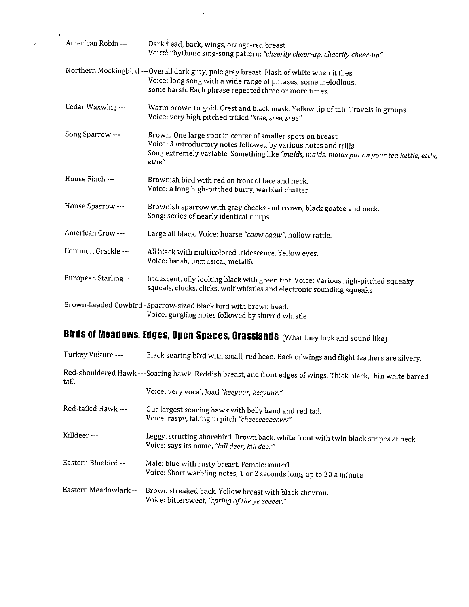| American Robin ---    | Dark head, back, wings, orange-red breast.<br>Voice: rhythmic sing-song pattern: "cheerily cheer-up, cheerily cheer-up"                                                                                                                   |
|-----------------------|-------------------------------------------------------------------------------------------------------------------------------------------------------------------------------------------------------------------------------------------|
|                       | Northern Mockingbird ---Overall dark gray, pale gray breast. Flash of white when it flies.<br>Voice: long song with a wide range of phrases, some melodious,<br>some harsh. Each phrase repeated three or more times.                     |
| Cedar Waxwing ---     | Warm brown to gold. Crest and black mask. Yellow tip of tail. Travels in groups.<br>Voice: very high pitched trilled "sree, sree, sree"                                                                                                   |
| Song Sparrow ---      | Brown. One large spot in center of smaller spots on breast.<br>Voice: 3 introductory notes followed by various notes and trills.<br>Song extremely variable. Something like "maids, maids, maids put on your tea kettle, ettle,<br>ettle" |
| House Finch ---       | Brownish bird with red on front of face and neck.<br>Voice: a long high-pitched burry, warbled chatter                                                                                                                                    |
| House Sparrow ---     | Brownish sparrow with gray cheeks and crown, black goatee and neck.<br>Song: series of nearly identical chirps.                                                                                                                           |
| American Crow ---     | Large all black. Voice: hoarse "caaw caaw", hollow rattle.                                                                                                                                                                                |
| Common Grackle ---    | All black with multicolored iridescence. Yellow eyes.<br>Voice: harsh, unmusical, metallic                                                                                                                                                |
| European Starling --- | Iridescent, oily looking black with green tint. Voice: Various high-pitched squeaky<br>squeals, clucks, clicks, wolf whistles and electronic sounding squeaks                                                                             |
|                       | Brown-headed Cowbird -Sparrow-sized black bird with brown head.<br>Voice: gurgling notes followed by slurred whistle                                                                                                                      |

 $\langle \cdot \rangle$ 

 $\pmb{z}$ 

 $\mathcal{L}(\mathbf{A})$  and  $\mathcal{L}(\mathbf{A})$  and  $\mathcal{L}(\mathbf{A})$ 

 $\pmb{\epsilon}$ 

# Birds of Meadows, Edges, Open Spaces, Grasslands (What they look and sound like)

| Turkey Vulture ---    | Black soaring bird with small, red head. Back of wings and flight feathers are silvery.                                              |
|-----------------------|--------------------------------------------------------------------------------------------------------------------------------------|
| tail.                 | Red-shouldered Hawk ---Soaring hawk. Reddish breast, and front edges of wings. Thick black, thin white barred                        |
|                       | Voice: very vocal, load "keeyuur, keeyuur."                                                                                          |
| Red-tailed Hawk ---   | Our largest soaring hawk with belly band and red tail.<br>Voice: raspy, falling in pitch "cheeeeeeeeewv"                             |
| Killdeer---           | Leggy, strutting shorebird. Brown back, white front with twin black stripes at neck.<br>Voice: says its name, "kill deer, kill deer" |
| Eastern Bluebird --   | Male: blue with rusty breast. Female: muted<br>Voice: Short warbling notes, 1 or 2 seconds long, up to 20 a minute                   |
| Eastern Meadowlark -- | Brown streaked back. Yellow breast with black chevron.<br>Voice: bittersweet, "spring of the ye eeeeer."                             |